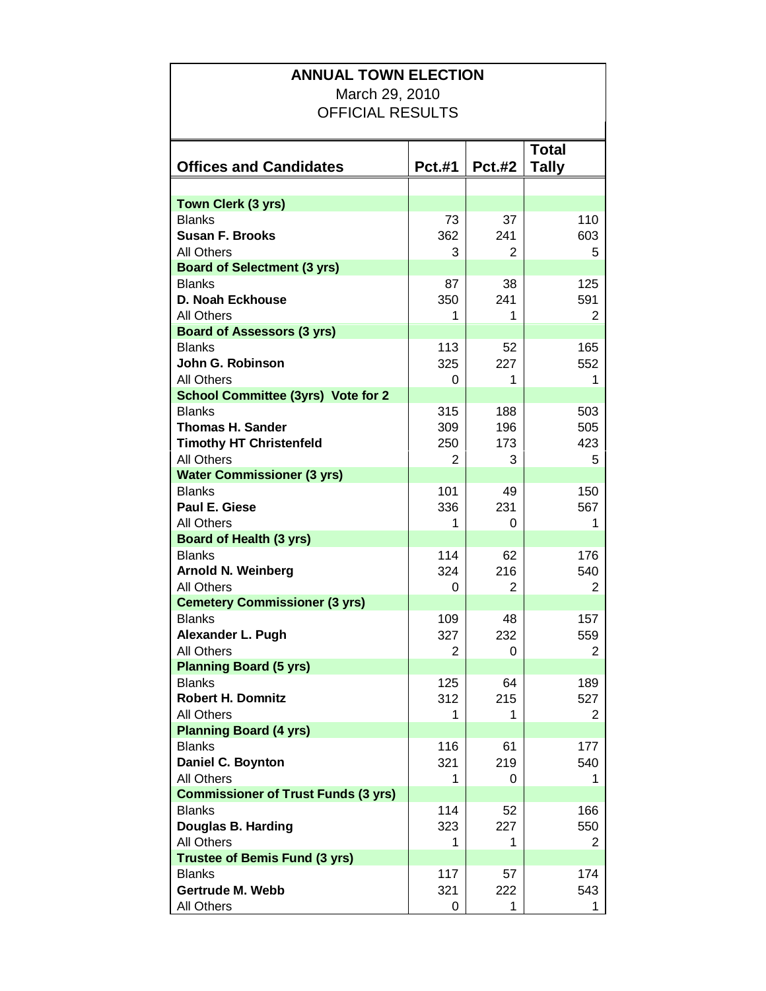| March 29, 2010<br><b>OFFICIAL RESULTS</b><br><b>Total</b><br><b>Offices and Candidates</b><br><b>Pct.#1</b><br><b>Pct.#2</b><br>Tally<br>Town Clerk (3 yrs)<br><b>Blanks</b><br>73<br>37<br>110<br><b>Susan F. Brooks</b><br>362<br>241<br>603<br><b>All Others</b><br>5<br>3<br>2<br><b>Board of Selectment (3 yrs)</b><br><b>Blanks</b><br>38<br>125<br>87<br>D. Noah Eckhouse<br>350<br>241<br>591<br><b>All Others</b><br>1<br>1<br>2<br><b>Board of Assessors (3 yrs)</b><br><b>Blanks</b><br>113<br>52<br>165<br>John G. Robinson<br>325<br>227<br>552<br><b>All Others</b><br>0<br>1<br>1<br><b>School Committee (3yrs) Vote for 2</b><br><b>Blanks</b><br>315<br>188<br>503<br><b>Thomas H. Sander</b><br>309<br>505<br>196<br><b>Timothy HT Christenfeld</b><br>250<br>173<br>423<br><b>All Others</b><br>3<br>5<br>2<br><b>Water Commissioner (3 yrs)</b><br><b>Blanks</b><br>101<br>150<br>49<br>Paul E. Giese<br>336<br>231<br>567<br><b>All Others</b><br>1<br>1<br>0<br><b>Board of Health (3 yrs)</b><br>114<br><b>Blanks</b><br>176<br>62<br><b>Arnold N. Weinberg</b><br>324<br>216<br>540<br><b>All Others</b><br>2<br>0<br>2<br><b>Cemetery Commissioner (3 yrs)</b><br><b>Blanks</b><br>109<br>48<br>157<br>Alexander L. Pugh<br>327<br>232<br>559<br><b>All Others</b><br>2<br>0<br>2<br><b>Planning Board (5 yrs)</b><br><b>Blanks</b><br>125<br>64<br>189<br><b>Robert H. Domnitz</b><br>312<br>215<br>527<br><b>All Others</b><br>1<br>1<br>2<br><b>Planning Board (4 yrs)</b><br>116<br><b>Blanks</b><br>61<br>177 |
|---------------------------------------------------------------------------------------------------------------------------------------------------------------------------------------------------------------------------------------------------------------------------------------------------------------------------------------------------------------------------------------------------------------------------------------------------------------------------------------------------------------------------------------------------------------------------------------------------------------------------------------------------------------------------------------------------------------------------------------------------------------------------------------------------------------------------------------------------------------------------------------------------------------------------------------------------------------------------------------------------------------------------------------------------------------------------------------------------------------------------------------------------------------------------------------------------------------------------------------------------------------------------------------------------------------------------------------------------------------------------------------------------------------------------------------------------------------------------------------------------------------------------------------------|
|                                                                                                                                                                                                                                                                                                                                                                                                                                                                                                                                                                                                                                                                                                                                                                                                                                                                                                                                                                                                                                                                                                                                                                                                                                                                                                                                                                                                                                                                                                                                             |
|                                                                                                                                                                                                                                                                                                                                                                                                                                                                                                                                                                                                                                                                                                                                                                                                                                                                                                                                                                                                                                                                                                                                                                                                                                                                                                                                                                                                                                                                                                                                             |
|                                                                                                                                                                                                                                                                                                                                                                                                                                                                                                                                                                                                                                                                                                                                                                                                                                                                                                                                                                                                                                                                                                                                                                                                                                                                                                                                                                                                                                                                                                                                             |
|                                                                                                                                                                                                                                                                                                                                                                                                                                                                                                                                                                                                                                                                                                                                                                                                                                                                                                                                                                                                                                                                                                                                                                                                                                                                                                                                                                                                                                                                                                                                             |
|                                                                                                                                                                                                                                                                                                                                                                                                                                                                                                                                                                                                                                                                                                                                                                                                                                                                                                                                                                                                                                                                                                                                                                                                                                                                                                                                                                                                                                                                                                                                             |
|                                                                                                                                                                                                                                                                                                                                                                                                                                                                                                                                                                                                                                                                                                                                                                                                                                                                                                                                                                                                                                                                                                                                                                                                                                                                                                                                                                                                                                                                                                                                             |
|                                                                                                                                                                                                                                                                                                                                                                                                                                                                                                                                                                                                                                                                                                                                                                                                                                                                                                                                                                                                                                                                                                                                                                                                                                                                                                                                                                                                                                                                                                                                             |
|                                                                                                                                                                                                                                                                                                                                                                                                                                                                                                                                                                                                                                                                                                                                                                                                                                                                                                                                                                                                                                                                                                                                                                                                                                                                                                                                                                                                                                                                                                                                             |
|                                                                                                                                                                                                                                                                                                                                                                                                                                                                                                                                                                                                                                                                                                                                                                                                                                                                                                                                                                                                                                                                                                                                                                                                                                                                                                                                                                                                                                                                                                                                             |
|                                                                                                                                                                                                                                                                                                                                                                                                                                                                                                                                                                                                                                                                                                                                                                                                                                                                                                                                                                                                                                                                                                                                                                                                                                                                                                                                                                                                                                                                                                                                             |
|                                                                                                                                                                                                                                                                                                                                                                                                                                                                                                                                                                                                                                                                                                                                                                                                                                                                                                                                                                                                                                                                                                                                                                                                                                                                                                                                                                                                                                                                                                                                             |
|                                                                                                                                                                                                                                                                                                                                                                                                                                                                                                                                                                                                                                                                                                                                                                                                                                                                                                                                                                                                                                                                                                                                                                                                                                                                                                                                                                                                                                                                                                                                             |
|                                                                                                                                                                                                                                                                                                                                                                                                                                                                                                                                                                                                                                                                                                                                                                                                                                                                                                                                                                                                                                                                                                                                                                                                                                                                                                                                                                                                                                                                                                                                             |
|                                                                                                                                                                                                                                                                                                                                                                                                                                                                                                                                                                                                                                                                                                                                                                                                                                                                                                                                                                                                                                                                                                                                                                                                                                                                                                                                                                                                                                                                                                                                             |
|                                                                                                                                                                                                                                                                                                                                                                                                                                                                                                                                                                                                                                                                                                                                                                                                                                                                                                                                                                                                                                                                                                                                                                                                                                                                                                                                                                                                                                                                                                                                             |
|                                                                                                                                                                                                                                                                                                                                                                                                                                                                                                                                                                                                                                                                                                                                                                                                                                                                                                                                                                                                                                                                                                                                                                                                                                                                                                                                                                                                                                                                                                                                             |
|                                                                                                                                                                                                                                                                                                                                                                                                                                                                                                                                                                                                                                                                                                                                                                                                                                                                                                                                                                                                                                                                                                                                                                                                                                                                                                                                                                                                                                                                                                                                             |
|                                                                                                                                                                                                                                                                                                                                                                                                                                                                                                                                                                                                                                                                                                                                                                                                                                                                                                                                                                                                                                                                                                                                                                                                                                                                                                                                                                                                                                                                                                                                             |
|                                                                                                                                                                                                                                                                                                                                                                                                                                                                                                                                                                                                                                                                                                                                                                                                                                                                                                                                                                                                                                                                                                                                                                                                                                                                                                                                                                                                                                                                                                                                             |
|                                                                                                                                                                                                                                                                                                                                                                                                                                                                                                                                                                                                                                                                                                                                                                                                                                                                                                                                                                                                                                                                                                                                                                                                                                                                                                                                                                                                                                                                                                                                             |
|                                                                                                                                                                                                                                                                                                                                                                                                                                                                                                                                                                                                                                                                                                                                                                                                                                                                                                                                                                                                                                                                                                                                                                                                                                                                                                                                                                                                                                                                                                                                             |
|                                                                                                                                                                                                                                                                                                                                                                                                                                                                                                                                                                                                                                                                                                                                                                                                                                                                                                                                                                                                                                                                                                                                                                                                                                                                                                                                                                                                                                                                                                                                             |
|                                                                                                                                                                                                                                                                                                                                                                                                                                                                                                                                                                                                                                                                                                                                                                                                                                                                                                                                                                                                                                                                                                                                                                                                                                                                                                                                                                                                                                                                                                                                             |
|                                                                                                                                                                                                                                                                                                                                                                                                                                                                                                                                                                                                                                                                                                                                                                                                                                                                                                                                                                                                                                                                                                                                                                                                                                                                                                                                                                                                                                                                                                                                             |
|                                                                                                                                                                                                                                                                                                                                                                                                                                                                                                                                                                                                                                                                                                                                                                                                                                                                                                                                                                                                                                                                                                                                                                                                                                                                                                                                                                                                                                                                                                                                             |
|                                                                                                                                                                                                                                                                                                                                                                                                                                                                                                                                                                                                                                                                                                                                                                                                                                                                                                                                                                                                                                                                                                                                                                                                                                                                                                                                                                                                                                                                                                                                             |
|                                                                                                                                                                                                                                                                                                                                                                                                                                                                                                                                                                                                                                                                                                                                                                                                                                                                                                                                                                                                                                                                                                                                                                                                                                                                                                                                                                                                                                                                                                                                             |
|                                                                                                                                                                                                                                                                                                                                                                                                                                                                                                                                                                                                                                                                                                                                                                                                                                                                                                                                                                                                                                                                                                                                                                                                                                                                                                                                                                                                                                                                                                                                             |
|                                                                                                                                                                                                                                                                                                                                                                                                                                                                                                                                                                                                                                                                                                                                                                                                                                                                                                                                                                                                                                                                                                                                                                                                                                                                                                                                                                                                                                                                                                                                             |
|                                                                                                                                                                                                                                                                                                                                                                                                                                                                                                                                                                                                                                                                                                                                                                                                                                                                                                                                                                                                                                                                                                                                                                                                                                                                                                                                                                                                                                                                                                                                             |
|                                                                                                                                                                                                                                                                                                                                                                                                                                                                                                                                                                                                                                                                                                                                                                                                                                                                                                                                                                                                                                                                                                                                                                                                                                                                                                                                                                                                                                                                                                                                             |
|                                                                                                                                                                                                                                                                                                                                                                                                                                                                                                                                                                                                                                                                                                                                                                                                                                                                                                                                                                                                                                                                                                                                                                                                                                                                                                                                                                                                                                                                                                                                             |
|                                                                                                                                                                                                                                                                                                                                                                                                                                                                                                                                                                                                                                                                                                                                                                                                                                                                                                                                                                                                                                                                                                                                                                                                                                                                                                                                                                                                                                                                                                                                             |
|                                                                                                                                                                                                                                                                                                                                                                                                                                                                                                                                                                                                                                                                                                                                                                                                                                                                                                                                                                                                                                                                                                                                                                                                                                                                                                                                                                                                                                                                                                                                             |
|                                                                                                                                                                                                                                                                                                                                                                                                                                                                                                                                                                                                                                                                                                                                                                                                                                                                                                                                                                                                                                                                                                                                                                                                                                                                                                                                                                                                                                                                                                                                             |
|                                                                                                                                                                                                                                                                                                                                                                                                                                                                                                                                                                                                                                                                                                                                                                                                                                                                                                                                                                                                                                                                                                                                                                                                                                                                                                                                                                                                                                                                                                                                             |
|                                                                                                                                                                                                                                                                                                                                                                                                                                                                                                                                                                                                                                                                                                                                                                                                                                                                                                                                                                                                                                                                                                                                                                                                                                                                                                                                                                                                                                                                                                                                             |
| Daniel C. Boynton<br>321<br>219<br>540                                                                                                                                                                                                                                                                                                                                                                                                                                                                                                                                                                                                                                                                                                                                                                                                                                                                                                                                                                                                                                                                                                                                                                                                                                                                                                                                                                                                                                                                                                      |
| <b>All Others</b><br>1<br>0<br>1                                                                                                                                                                                                                                                                                                                                                                                                                                                                                                                                                                                                                                                                                                                                                                                                                                                                                                                                                                                                                                                                                                                                                                                                                                                                                                                                                                                                                                                                                                            |
| <b>Commissioner of Trust Funds (3 yrs)</b>                                                                                                                                                                                                                                                                                                                                                                                                                                                                                                                                                                                                                                                                                                                                                                                                                                                                                                                                                                                                                                                                                                                                                                                                                                                                                                                                                                                                                                                                                                  |
| <b>Blanks</b><br>114<br>52<br>166                                                                                                                                                                                                                                                                                                                                                                                                                                                                                                                                                                                                                                                                                                                                                                                                                                                                                                                                                                                                                                                                                                                                                                                                                                                                                                                                                                                                                                                                                                           |
| Douglas B. Harding<br>323<br>227<br>550                                                                                                                                                                                                                                                                                                                                                                                                                                                                                                                                                                                                                                                                                                                                                                                                                                                                                                                                                                                                                                                                                                                                                                                                                                                                                                                                                                                                                                                                                                     |
| <b>All Others</b><br>1<br>1<br>2                                                                                                                                                                                                                                                                                                                                                                                                                                                                                                                                                                                                                                                                                                                                                                                                                                                                                                                                                                                                                                                                                                                                                                                                                                                                                                                                                                                                                                                                                                            |
| <b>Trustee of Bemis Fund (3 yrs)</b><br><b>Blanks</b><br>117<br>174<br>57                                                                                                                                                                                                                                                                                                                                                                                                                                                                                                                                                                                                                                                                                                                                                                                                                                                                                                                                                                                                                                                                                                                                                                                                                                                                                                                                                                                                                                                                   |
| <b>Gertrude M. Webb</b><br>321<br>222<br>543                                                                                                                                                                                                                                                                                                                                                                                                                                                                                                                                                                                                                                                                                                                                                                                                                                                                                                                                                                                                                                                                                                                                                                                                                                                                                                                                                                                                                                                                                                |
| All Others<br>0<br>1<br>1                                                                                                                                                                                                                                                                                                                                                                                                                                                                                                                                                                                                                                                                                                                                                                                                                                                                                                                                                                                                                                                                                                                                                                                                                                                                                                                                                                                                                                                                                                                   |